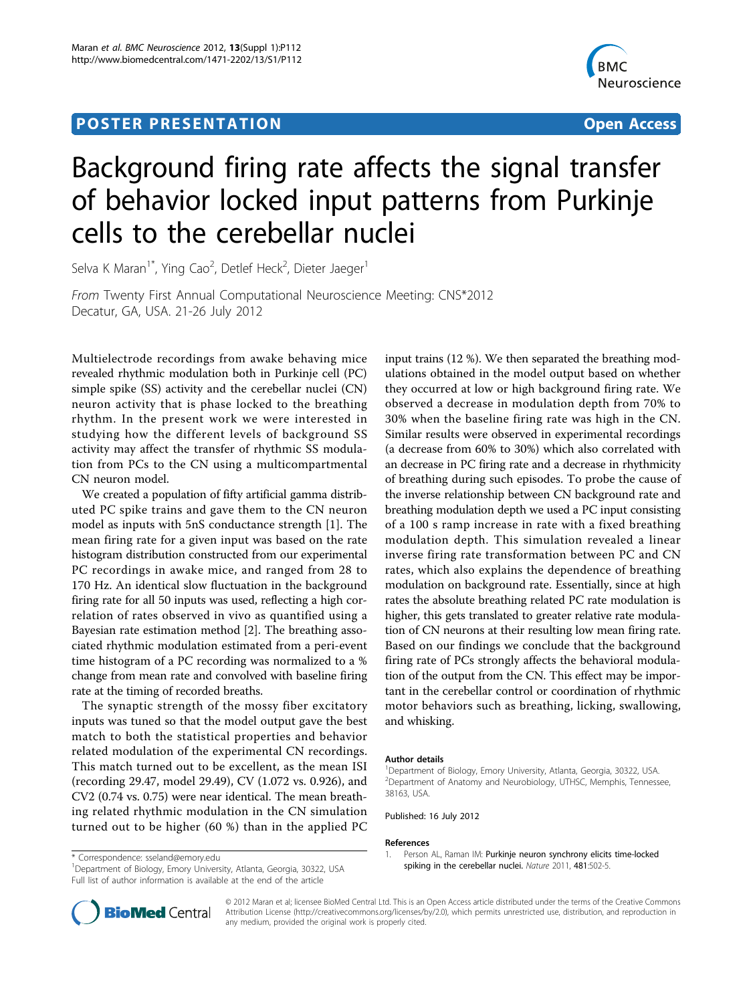## **POSTER PRESENTATION CONSUMING ACCESS**



# Background firing rate affects the signal transfer of behavior locked input patterns from Purkinje cells to the cerebellar nuclei

Selva K Maran<sup>1\*</sup>, Ying Cao<sup>2</sup>, Detlef Heck<sup>2</sup>, Dieter Jaeger<sup>1</sup>

From Twenty First Annual Computational Neuroscience Meeting: CNS\*2012 Decatur, GA, USA. 21-26 July 2012

Multielectrode recordings from awake behaving mice revealed rhythmic modulation both in Purkinje cell (PC) simple spike (SS) activity and the cerebellar nuclei (CN) neuron activity that is phase locked to the breathing rhythm. In the present work we were interested in studying how the different levels of background SS activity may affect the transfer of rhythmic SS modulation from PCs to the CN using a multicompartmental CN neuron model.

We created a population of fifty artificial gamma distributed PC spike trains and gave them to the CN neuron model as inputs with 5nS conductance strength [1]. The mean firing rate for a given input was based on the rate histogram distribution constructed from our experimental PC recordings in awake mice, and ranged from 28 to 170 Hz. An identical slow fluctuation in the background firing rate for all 50 inputs was used, reflecting a high correlation of rates observed in vivo as quantified using a Bayesian rate estimation method [\[2](#page-1-0)]. The breathing associated rhythmic modulation estimated from a peri-event time histogram of a PC recording was normalized to a % change from mean rate and convolved with baseline firing rate at the timing of recorded breaths.

The synaptic strength of the mossy fiber excitatory inputs was tuned so that the model output gave the best match to both the statistical properties and behavior related modulation of the experimental CN recordings. This match turned out to be excellent, as the mean ISI (recording 29.47, model 29.49), CV (1.072 vs. 0.926), and CV2 (0.74 vs. 0.75) were near identical. The mean breathing related rhythmic modulation in the CN simulation turned out to be higher (60 %) than in the applied PC

input trains (12 %). We then separated the breathing modulations obtained in the model output based on whether they occurred at low or high background firing rate. We observed a decrease in modulation depth from 70% to 30% when the baseline firing rate was high in the CN. Similar results were observed in experimental recordings (a decrease from 60% to 30%) which also correlated with an decrease in PC firing rate and a decrease in rhythmicity of breathing during such episodes. To probe the cause of the inverse relationship between CN background rate and breathing modulation depth we used a PC input consisting of a 100 s ramp increase in rate with a fixed breathing modulation depth. This simulation revealed a linear inverse firing rate transformation between PC and CN rates, which also explains the dependence of breathing modulation on background rate. Essentially, since at high rates the absolute breathing related PC rate modulation is higher, this gets translated to greater relative rate modulation of CN neurons at their resulting low mean firing rate. Based on our findings we conclude that the background firing rate of PCs strongly affects the behavioral modulation of the output from the CN. This effect may be important in the cerebellar control or coordination of rhythmic motor behaviors such as breathing, licking, swallowing, and whisking.

#### Author details

<sup>1</sup>Department of Biology, Emory University, Atlanta, Georgia, 30322, USA. 2 Department of Anatomy and Neurobiology, UTHSC, Memphis, Tennessee, 38163, USA.

1. Person AL, Raman IM: [Purkinje neuron synchrony elicits time-locked](http://www.ncbi.nlm.nih.gov/pubmed/22198670?dopt=Abstract)

Published: 16 July 2012

#### References

<sup>1</sup>Department of Biology, Emory University, Atlanta, Georgia, 30322, USA Full list of author information is available at the end of the article





© 2012 Maran et al; licensee BioMed Central Ltd. This is an Open Access article distributed under the terms of the Creative Commons Attribution License [\(http://creativecommons.org/licenses/by/2.0](http://creativecommons.org/licenses/by/2.0)), which permits unrestricted use, distribution, and reproduction in any medium, provided the original work is properly cited.